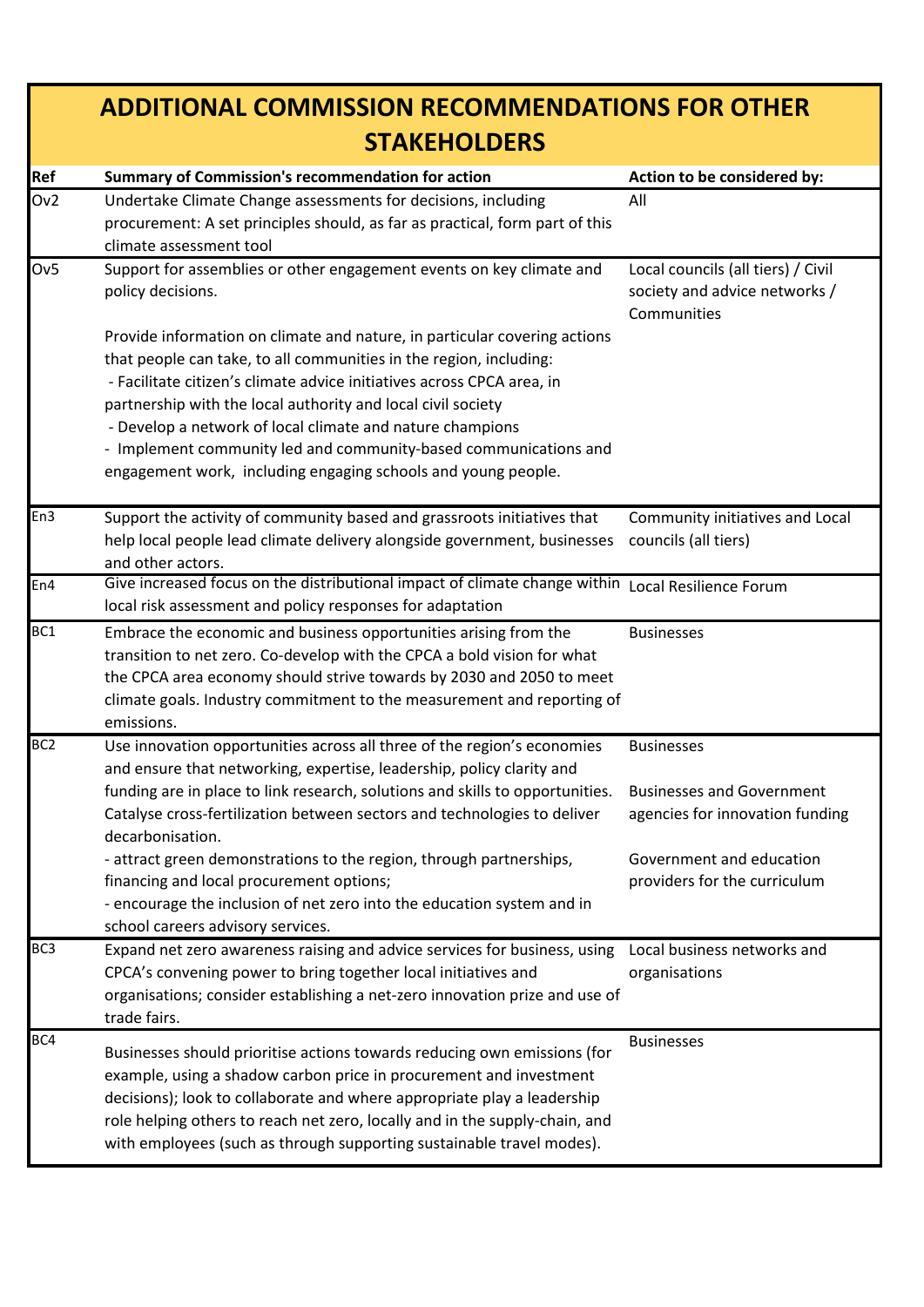|                 | <b>ADDITIONAL COMMISSION RECOMMENDATIONS FOR OTHER</b>                                                                                                                                                                                                                                                                                                                                                                                                                                                                                                              |                                                                                                                                                      |  |  |  |
|-----------------|---------------------------------------------------------------------------------------------------------------------------------------------------------------------------------------------------------------------------------------------------------------------------------------------------------------------------------------------------------------------------------------------------------------------------------------------------------------------------------------------------------------------------------------------------------------------|------------------------------------------------------------------------------------------------------------------------------------------------------|--|--|--|
|                 | <b>STAKEHOLDERS</b>                                                                                                                                                                                                                                                                                                                                                                                                                                                                                                                                                 |                                                                                                                                                      |  |  |  |
| <b>Ref</b>      | <b>Summary of Commission's recommendation for action</b>                                                                                                                                                                                                                                                                                                                                                                                                                                                                                                            | Action to be considered by:                                                                                                                          |  |  |  |
| Ov2             | Undertake Climate Change assessments for decisions, including<br>procurement: A set principles should, as far as practical, form part of this<br>climate assessment tool                                                                                                                                                                                                                                                                                                                                                                                            | All                                                                                                                                                  |  |  |  |
| Ov5             | Support for assemblies or other engagement events on key climate and<br>policy decisions.                                                                                                                                                                                                                                                                                                                                                                                                                                                                           | Local councils (all tiers) / Civil<br>society and advice networks /<br>Communities                                                                   |  |  |  |
|                 | Provide information on climate and nature, in particular covering actions<br>that people can take, to all communities in the region, including:<br>- Facilitate citizen's climate advice initiatives across CPCA area, in<br>partnership with the local authority and local civil society<br>- Develop a network of local climate and nature champions<br>- Implement community led and community-based communications and<br>engagement work, including engaging schools and young people.                                                                         |                                                                                                                                                      |  |  |  |
| En3             | Support the activity of community based and grassroots initiatives that<br>help local people lead climate delivery alongside government, businesses<br>and other actors.                                                                                                                                                                                                                                                                                                                                                                                            | Community initiatives and Local<br>councils (all tiers)                                                                                              |  |  |  |
| En4             | Give increased focus on the distributional impact of climate change within<br>local risk assessment and policy responses for adaptation                                                                                                                                                                                                                                                                                                                                                                                                                             | Local Resilience Forum                                                                                                                               |  |  |  |
| BC <sub>1</sub> | Embrace the economic and business opportunities arising from the<br>transition to net zero. Co-develop with the CPCA a bold vision for what<br>the CPCA area economy should strive towards by 2030 and 2050 to meet<br>climate goals. Industry commitment to the measurement and reporting of<br>emissions.                                                                                                                                                                                                                                                         | <b>Businesses</b>                                                                                                                                    |  |  |  |
| BC <sub>2</sub> | Use innovation opportunities across all three of the region's economies<br>and ensure that networking, expertise, leadership, policy clarity and<br>funding are in place to link research, solutions and skills to opportunities.<br>Catalyse cross-fertilization between sectors and technologies to deliver<br>decarbonisation.<br>- attract green demonstrations to the region, through partnerships,<br>financing and local procurement options;<br>- encourage the inclusion of net zero into the education system and in<br>school careers advisory services. | <b>Businesses</b><br><b>Businesses and Government</b><br>agencies for innovation funding<br>Government and education<br>providers for the curriculum |  |  |  |
| BC <sub>3</sub> | Expand net zero awareness raising and advice services for business, using<br>CPCA's convening power to bring together local initiatives and<br>organisations; consider establishing a net-zero innovation prize and use of<br>trade fairs.                                                                                                                                                                                                                                                                                                                          | Local business networks and<br>organisations                                                                                                         |  |  |  |
| BC4             | Businesses should prioritise actions towards reducing own emissions (for<br>example, using a shadow carbon price in procurement and investment<br>decisions); look to collaborate and where appropriate play a leadership<br>role helping others to reach net zero, locally and in the supply-chain, and<br>with employees (such as through supporting sustainable travel modes).                                                                                                                                                                                   | <b>Businesses</b>                                                                                                                                    |  |  |  |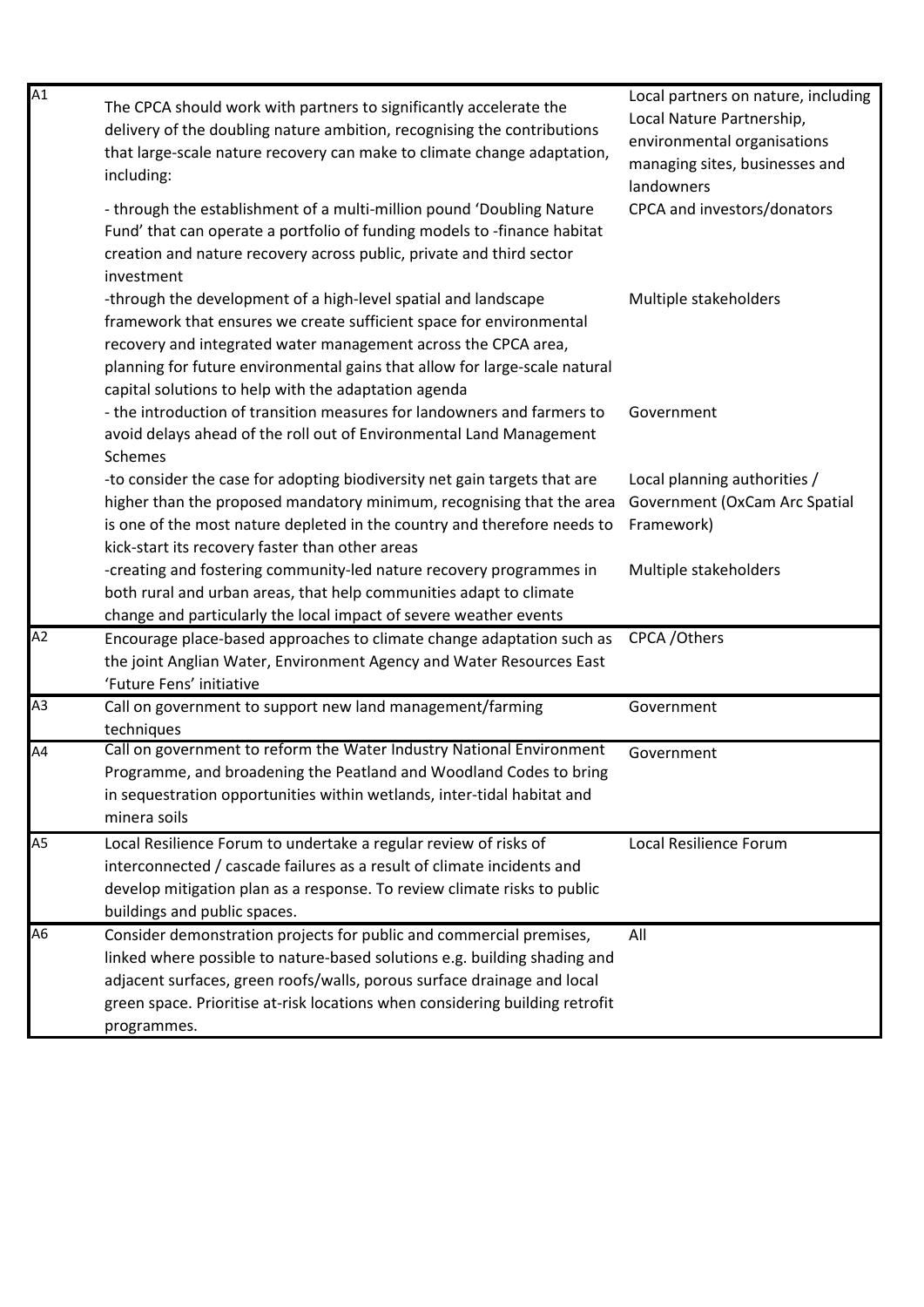| A1 | The CPCA should work with partners to significantly accelerate the<br>delivery of the doubling nature ambition, recognising the contributions<br>that large-scale nature recovery can make to climate change adaptation,<br>including:<br>- through the establishment of a multi-million pound 'Doubling Nature<br>Fund' that can operate a portfolio of funding models to -finance habitat<br>creation and nature recovery across public, private and third sector<br>investment | Local partners on nature, including<br>Local Nature Partnership,<br>environmental organisations<br>managing sites, businesses and<br>landowners<br>CPCA and investors/donators |
|----|-----------------------------------------------------------------------------------------------------------------------------------------------------------------------------------------------------------------------------------------------------------------------------------------------------------------------------------------------------------------------------------------------------------------------------------------------------------------------------------|--------------------------------------------------------------------------------------------------------------------------------------------------------------------------------|
|    | -through the development of a high-level spatial and landscape<br>framework that ensures we create sufficient space for environmental<br>recovery and integrated water management across the CPCA area,<br>planning for future environmental gains that allow for large-scale natural<br>capital solutions to help with the adaptation agenda                                                                                                                                     | Multiple stakeholders                                                                                                                                                          |
|    | - the introduction of transition measures for landowners and farmers to<br>avoid delays ahead of the roll out of Environmental Land Management<br>Schemes                                                                                                                                                                                                                                                                                                                         | Government                                                                                                                                                                     |
|    | -to consider the case for adopting biodiversity net gain targets that are<br>higher than the proposed mandatory minimum, recognising that the area<br>is one of the most nature depleted in the country and therefore needs to<br>kick-start its recovery faster than other areas                                                                                                                                                                                                 | Local planning authorities /<br>Government (OxCam Arc Spatial<br>Framework)                                                                                                    |
|    | -creating and fostering community-led nature recovery programmes in<br>both rural and urban areas, that help communities adapt to climate<br>change and particularly the local impact of severe weather events                                                                                                                                                                                                                                                                    | Multiple stakeholders                                                                                                                                                          |
| A2 | Encourage place-based approaches to climate change adaptation such as<br>the joint Anglian Water, Environment Agency and Water Resources East<br>'Future Fens' initiative                                                                                                                                                                                                                                                                                                         | CPCA /Others                                                                                                                                                                   |
| A3 | Call on government to support new land management/farming<br>techniques                                                                                                                                                                                                                                                                                                                                                                                                           | Government                                                                                                                                                                     |
| A4 | Call on government to reform the Water Industry National Environment<br>Programme, and broadening the Peatland and Woodland Codes to bring<br>in sequestration opportunities within wetlands, inter-tidal habitat and<br>minera soils                                                                                                                                                                                                                                             | Government                                                                                                                                                                     |
| A5 | Local Resilience Forum to undertake a regular review of risks of<br>interconnected / cascade failures as a result of climate incidents and<br>develop mitigation plan as a response. To review climate risks to public<br>buildings and public spaces.                                                                                                                                                                                                                            | Local Resilience Forum                                                                                                                                                         |
| A6 | Consider demonstration projects for public and commercial premises,<br>linked where possible to nature-based solutions e.g. building shading and<br>adjacent surfaces, green roofs/walls, porous surface drainage and local<br>green space. Prioritise at-risk locations when considering building retrofit<br>programmes.                                                                                                                                                        | All                                                                                                                                                                            |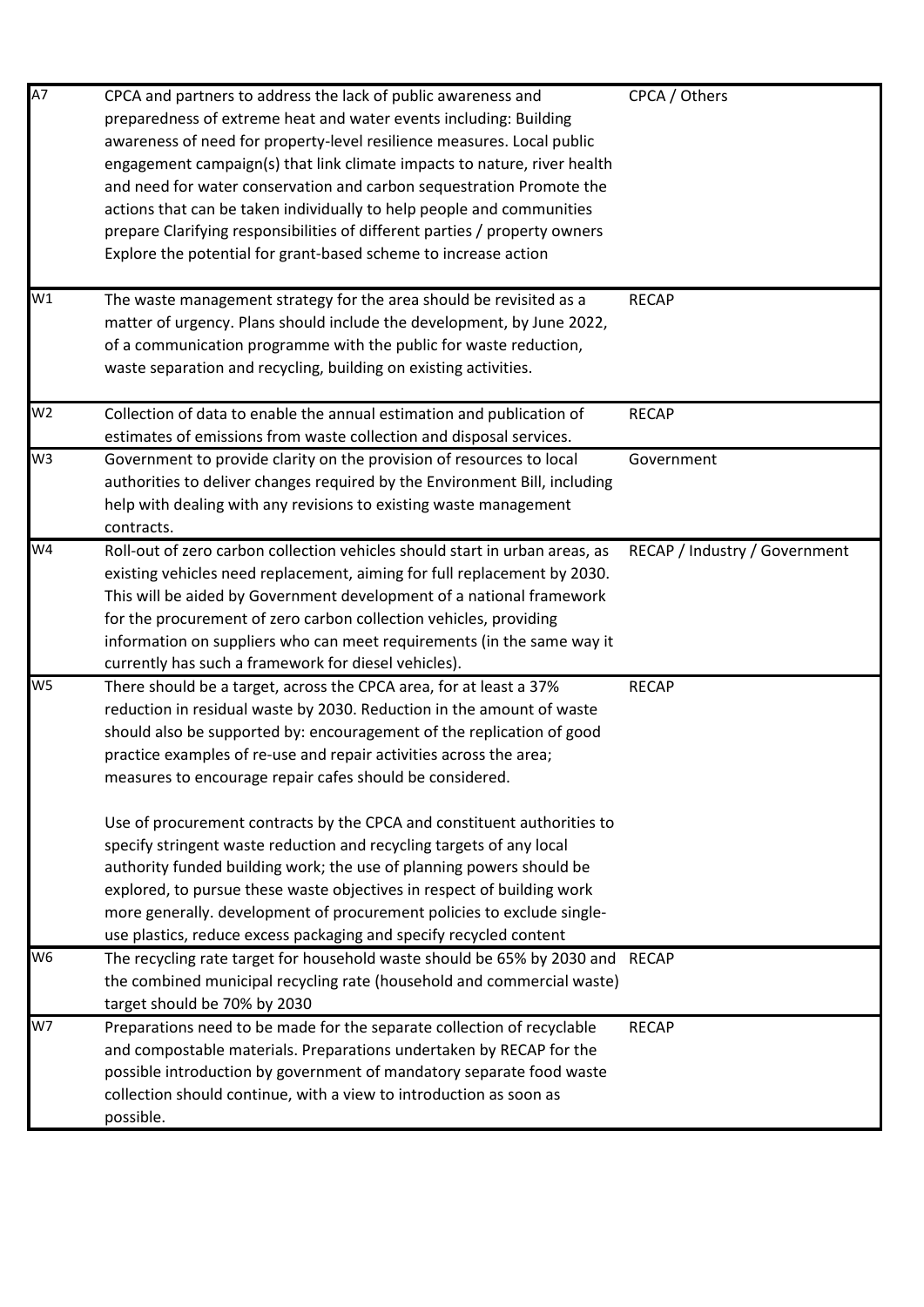| A7             | CPCA and partners to address the lack of public awareness and<br>preparedness of extreme heat and water events including: Building<br>awareness of need for property-level resilience measures. Local public<br>engagement campaign(s) that link climate impacts to nature, river health<br>and need for water conservation and carbon sequestration Promote the<br>actions that can be taken individually to help people and communities<br>prepare Clarifying responsibilities of different parties / property owners<br>Explore the potential for grant-based scheme to increase action                                                                                                                                                                                                                  | CPCA / Others                 |
|----------------|-------------------------------------------------------------------------------------------------------------------------------------------------------------------------------------------------------------------------------------------------------------------------------------------------------------------------------------------------------------------------------------------------------------------------------------------------------------------------------------------------------------------------------------------------------------------------------------------------------------------------------------------------------------------------------------------------------------------------------------------------------------------------------------------------------------|-------------------------------|
| W1             | The waste management strategy for the area should be revisited as a<br>matter of urgency. Plans should include the development, by June 2022,<br>of a communication programme with the public for waste reduction,<br>waste separation and recycling, building on existing activities.                                                                                                                                                                                                                                                                                                                                                                                                                                                                                                                      | <b>RECAP</b>                  |
| W <sub>2</sub> | Collection of data to enable the annual estimation and publication of<br>estimates of emissions from waste collection and disposal services.                                                                                                                                                                                                                                                                                                                                                                                                                                                                                                                                                                                                                                                                | <b>RECAP</b>                  |
| W3             | Government to provide clarity on the provision of resources to local<br>authorities to deliver changes required by the Environment Bill, including<br>help with dealing with any revisions to existing waste management<br>contracts.                                                                                                                                                                                                                                                                                                                                                                                                                                                                                                                                                                       | Government                    |
| W4             | Roll-out of zero carbon collection vehicles should start in urban areas, as<br>existing vehicles need replacement, aiming for full replacement by 2030.<br>This will be aided by Government development of a national framework<br>for the procurement of zero carbon collection vehicles, providing<br>information on suppliers who can meet requirements (in the same way it<br>currently has such a framework for diesel vehicles).                                                                                                                                                                                                                                                                                                                                                                      | RECAP / Industry / Government |
| W5             | There should be a target, across the CPCA area, for at least a 37%<br>reduction in residual waste by 2030. Reduction in the amount of waste<br>should also be supported by: encouragement of the replication of good<br>practice examples of re-use and repair activities across the area;<br>measures to encourage repair cafes should be considered.<br>Use of procurement contracts by the CPCA and constituent authorities to<br>specify stringent waste reduction and recycling targets of any local<br>authority funded building work; the use of planning powers should be<br>explored, to pursue these waste objectives in respect of building work<br>more generally. development of procurement policies to exclude single-<br>use plastics, reduce excess packaging and specify recycled content | <b>RECAP</b>                  |
| W <sub>6</sub> | The recycling rate target for household waste should be 65% by 2030 and RECAP<br>the combined municipal recycling rate (household and commercial waste)<br>target should be 70% by 2030                                                                                                                                                                                                                                                                                                                                                                                                                                                                                                                                                                                                                     |                               |
| W7             | Preparations need to be made for the separate collection of recyclable<br>and compostable materials. Preparations undertaken by RECAP for the<br>possible introduction by government of mandatory separate food waste<br>collection should continue, with a view to introduction as soon as<br>possible.                                                                                                                                                                                                                                                                                                                                                                                                                                                                                                    | <b>RECAP</b>                  |